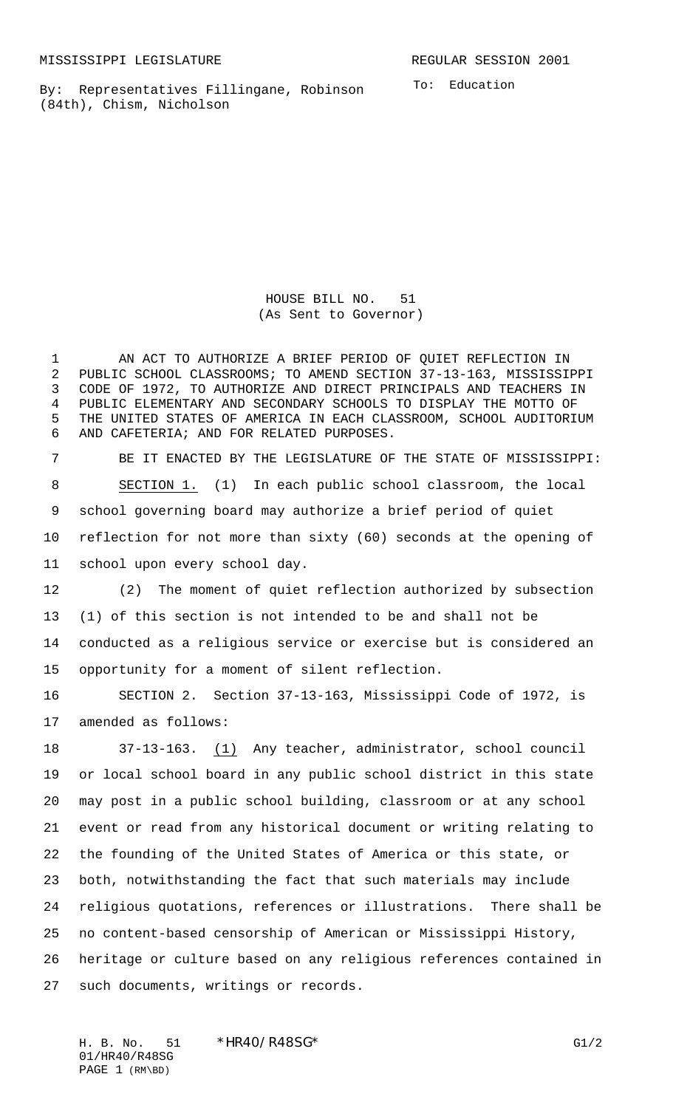By: Representatives Fillingane, Robinson (84th), Chism, Nicholson

To: Education

HOUSE BILL NO. 51 (As Sent to Governor)

 AN ACT TO AUTHORIZE A BRIEF PERIOD OF QUIET REFLECTION IN PUBLIC SCHOOL CLASSROOMS; TO AMEND SECTION 37-13-163, MISSISSIPPI CODE OF 1972, TO AUTHORIZE AND DIRECT PRINCIPALS AND TEACHERS IN PUBLIC ELEMENTARY AND SECONDARY SCHOOLS TO DISPLAY THE MOTTO OF THE UNITED STATES OF AMERICA IN EACH CLASSROOM, SCHOOL AUDITORIUM AND CAFETERIA; AND FOR RELATED PURPOSES.

 BE IT ENACTED BY THE LEGISLATURE OF THE STATE OF MISSISSIPPI: SECTION 1. (1) In each public school classroom, the local school governing board may authorize a brief period of quiet reflection for not more than sixty (60) seconds at the opening of school upon every school day.

 (2) The moment of quiet reflection authorized by subsection (1) of this section is not intended to be and shall not be conducted as a religious service or exercise but is considered an opportunity for a moment of silent reflection.

 SECTION 2. Section 37-13-163, Mississippi Code of 1972, is amended as follows:

 37-13-163. (1) Any teacher, administrator, school council or local school board in any public school district in this state may post in a public school building, classroom or at any school event or read from any historical document or writing relating to the founding of the United States of America or this state, or both, notwithstanding the fact that such materials may include religious quotations, references or illustrations. There shall be no content-based censorship of American or Mississippi History, heritage or culture based on any religious references contained in such documents, writings or records.

H. B. No. 51 \*HR40/R48SG\* G1/2 01/HR40/R48SG PAGE 1 (RM\BD)